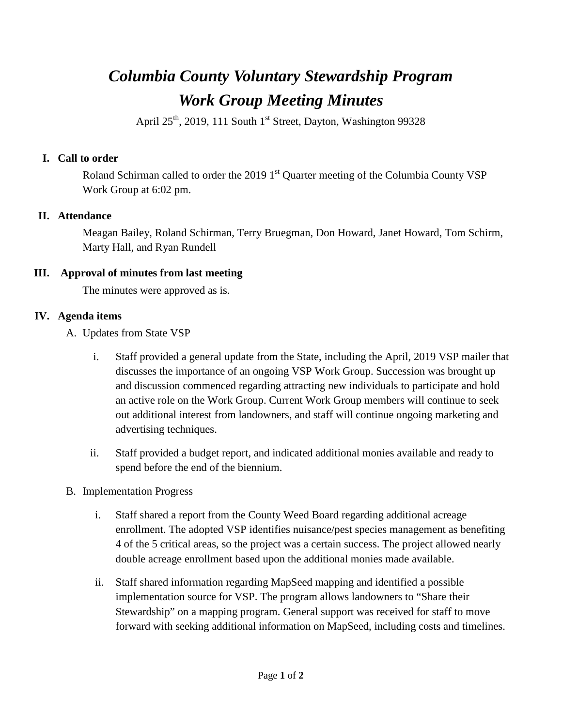# *Columbia County Voluntary Stewardship Program Work Group Meeting Minutes*

April  $25<sup>th</sup>$ , 2019, 111 South 1<sup>st</sup> Street, Dayton, Washington 99328

### **I. Call to order**

Roland Schirman called to order the 2019  $1<sup>st</sup>$  Quarter meeting of the Columbia County VSP Work Group at 6:02 pm.

### **II. Attendance**

Meagan Bailey, Roland Schirman, Terry Bruegman, Don Howard, Janet Howard, Tom Schirm, Marty Hall, and Ryan Rundell

### **III. Approval of minutes from last meeting**

The minutes were approved as is.

## **IV. Agenda items**

- A. Updates from State VSP
	- i. Staff provided a general update from the State, including the April, 2019 VSP mailer that discusses the importance of an ongoing VSP Work Group. Succession was brought up and discussion commenced regarding attracting new individuals to participate and hold an active role on the Work Group. Current Work Group members will continue to seek out additional interest from landowners, and staff will continue ongoing marketing and advertising techniques.
	- ii. Staff provided a budget report, and indicated additional monies available and ready to spend before the end of the biennium.
- B. Implementation Progress
	- i. Staff shared a report from the County Weed Board regarding additional acreage enrollment. The adopted VSP identifies nuisance/pest species management as benefiting 4 of the 5 critical areas, so the project was a certain success. The project allowed nearly double acreage enrollment based upon the additional monies made available.
	- ii. Staff shared information regarding MapSeed mapping and identified a possible implementation source for VSP. The program allows landowners to "Share their Stewardship" on a mapping program. General support was received for staff to move forward with seeking additional information on MapSeed, including costs and timelines.